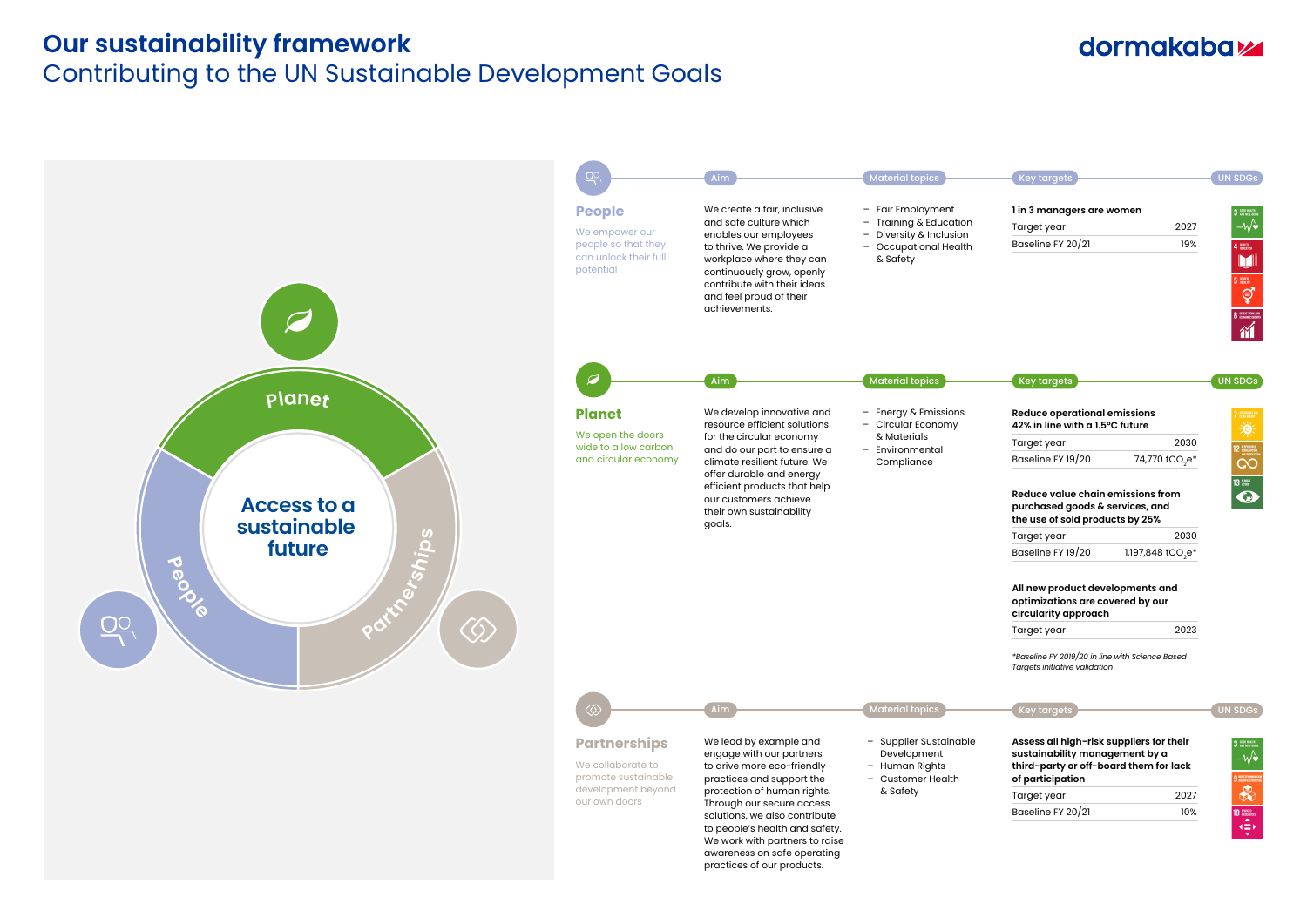#### **Our sustainability framework**

## Contributing to the UN Sustainable Development Goals

#### dormakaba<sub>k</sub>